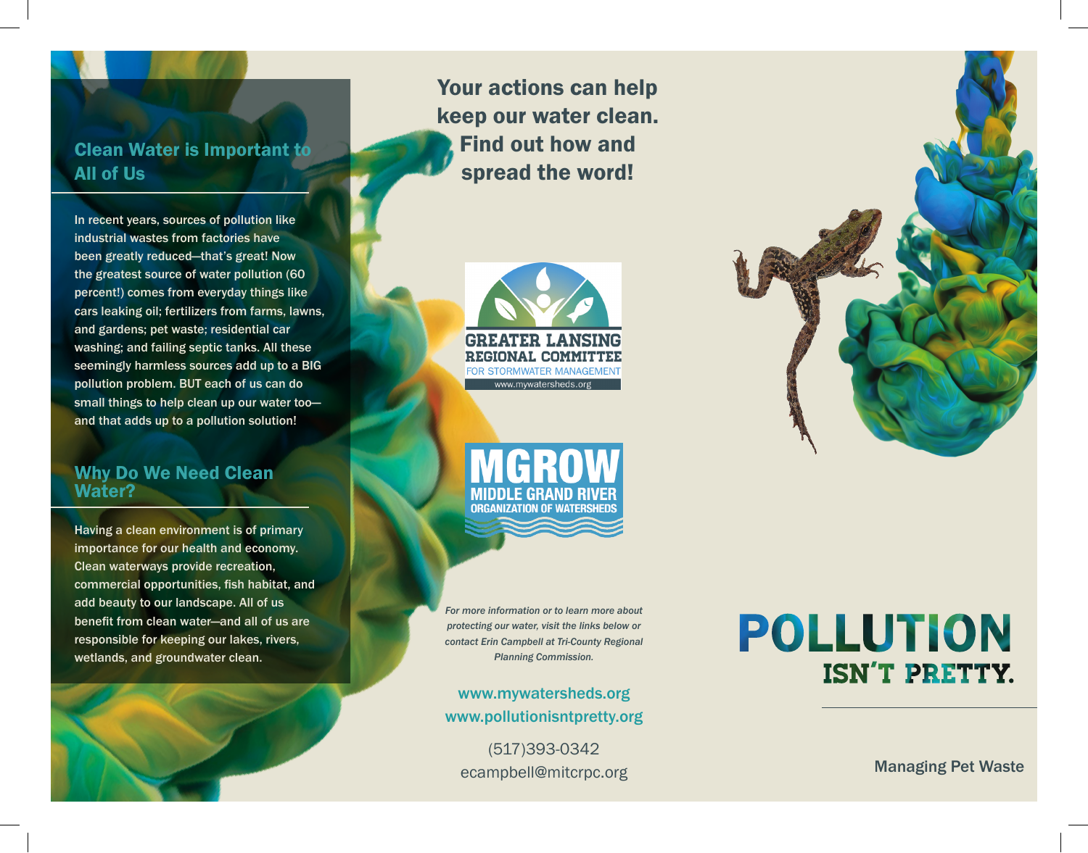### Clean Water is Important to All of Us

In recent years, sources of pollution like industrial wastes from factories have been greatly reduced—that's great! Now the greatest source of water pollution (60 percent!) comes from everyday things like cars leaking oil; fertilizers from farms, lawns, and gardens; pet waste; residential car washing; and failing septic tanks. All these seemingly harmless sources add up to a BIG pollution problem. BUT each of us can do small things to help clean up our water too and that adds up to a pollution solution!

#### Why Do We Need Clean Water?

Having a clean environment is of primary importance for our health and economy. Clean waterways provide recreation, commercial opportunities, fish habitat, and add beauty to our landscape. All of us benefit from clean water—and all of us are responsible for keeping our lakes, rivers, wetlands, and groundwater clean.



Your actions can help keep our water clean. Find out how and spread the word!



GRO MIDDLE GRAND RIVER **ORGANIZATION OF WATERSHED!** 

*For more information or to learn more about protecting our water, visit the links below or contact Erin Campbell at Tri-County Regional Planning Commission.* 

www.mywatersheds.org www.pollutionisntpretty.org

(517)393-0342 ecampbell@mitcrpc.org

# **POLLUTION ISN'T PRETTY.**

Managing Pet Waste